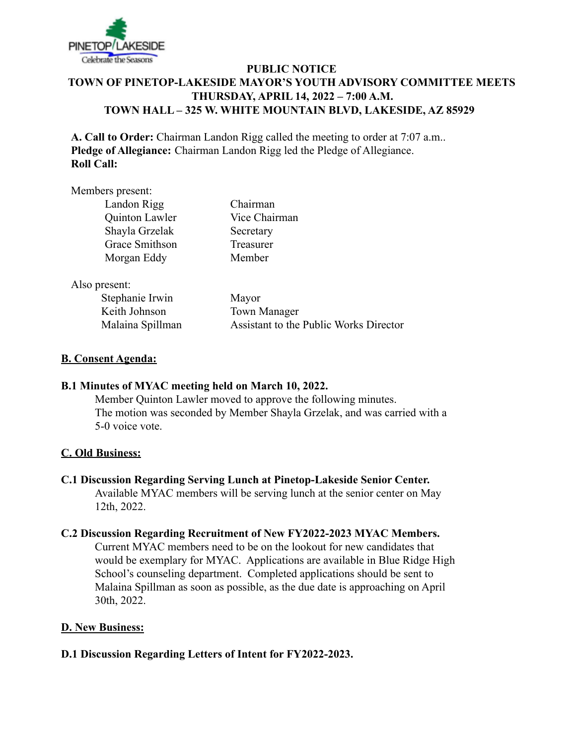

# **PUBLIC NOTICE TOWN OF PINETOP-LAKESIDE MAYOR'S YOUTH ADVISORY COMMITTEE MEETS THURSDAY, APRIL 14, 2022 – 7:00 A.M. TOWN HALL – 325 W. WHITE MOUNTAIN BLVD, LAKESIDE, AZ 85929**

**A. Call to Order:** Chairman Landon Rigg called the meeting to order at 7:07 a.m.. **Pledge of Allegiance:** Chairman Landon Rigg led the Pledge of Allegiance. **Roll Call:**

#### Members present:

| Landon Rigg    |
|----------------|
| Quinton Lawler |
| Shayla Grzelak |
| Grace Smithson |
| Morgan Eddy    |

Chairman Vice Chairman Secretary Treasurer Member

Also present:

Stephanie Irwin Mayor Keith Johnson Town Manager

Malaina Spillman Assistant to the Public Works Director

### **B. Consent Agenda:**

# **B.1 Minutes of MYAC meeting held on March 10, 2022.**

Member Quinton Lawler moved to approve the following minutes. The motion was seconded by Member Shayla Grzelak, and was carried with a 5-0 voice vote.

#### **C. Old Business:**

#### **C.1 Discussion Regarding Serving Lunch at Pinetop-Lakeside Senior Center.**

Available MYAC members will be serving lunch at the senior center on May 12th, 2022.

### **C.2 Discussion Regarding Recruitment of New FY2022-2023 MYAC Members.**

Current MYAC members need to be on the lookout for new candidates that would be exemplary for MYAC. Applications are available in Blue Ridge High School's counseling department. Completed applications should be sent to Malaina Spillman as soon as possible, as the due date is approaching on April 30th, 2022.

# **D. New Business:**

# **D.1 Discussion Regarding Letters of Intent for FY2022-2023.**